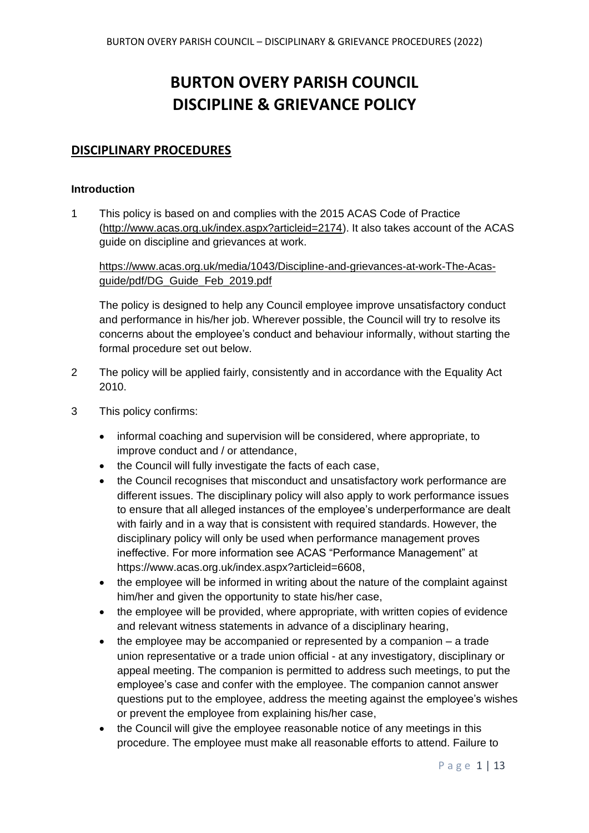# **BURTON OVERY PARISH COUNCIL DISCIPLINE & GRIEVANCE POLICY**

# **DISCIPLINARY PROCEDURES**

#### **Introduction**

1 This policy is based on and complies with the 2015 ACAS Code of Practice [\(http://www.acas.org.uk/index.aspx?articleid=2174\)](http://www.acas.org.uk/index.aspx?articleid=2174). It also takes account of the ACAS guide on discipline and grievances at work.

## [https://www.acas.org.uk/media/1043/Discipline-and-grievances-at-work-The-Acas](https://www.acas.org.uk/media/1043/Discipline-and-grievances-at-work-The-Acas-guide/pdf/DG_Guide_Feb_2019.pdf)[guide/pdf/DG\\_Guide\\_Feb\\_2019.pdf](https://www.acas.org.uk/media/1043/Discipline-and-grievances-at-work-The-Acas-guide/pdf/DG_Guide_Feb_2019.pdf)

The policy is designed to help any Council employee improve unsatisfactory conduct and performance in his/her job. Wherever possible, the Council will try to resolve its concerns about the employee's conduct and behaviour informally, without starting the formal procedure set out below.

- 2 The policy will be applied fairly, consistently and in accordance with the Equality Act 2010.
- 3 This policy confirms:
	- informal coaching and supervision will be considered, where appropriate, to improve conduct and / or attendance,
	- the Council will fully investigate the facts of each case,
	- the Council recognises that misconduct and unsatisfactory work performance are different issues. The disciplinary policy will also apply to work performance issues to ensure that all alleged instances of the employee's underperformance are dealt with fairly and in a way that is consistent with required standards. However, the disciplinary policy will only be used when performance management proves ineffective. For more information see ACAS "Performance Management" at [https://www.acas.org.uk/index.aspx?articleid=6608,](https://www.acas.org.uk/index.aspx?articleid=6608)
	- the employee will be informed in writing about the nature of the complaint against him/her and given the opportunity to state his/her case,
	- the employee will be provided, where appropriate, with written copies of evidence and relevant witness statements in advance of a disciplinary hearing,
	- the employee may be accompanied or represented by a companion a trade union representative or a trade union official - at any investigatory, disciplinary or appeal meeting. The companion is permitted to address such meetings, to put the employee's case and confer with the employee. The companion cannot answer questions put to the employee, address the meeting against the employee's wishes or prevent the employee from explaining his/her case,
	- the Council will give the employee reasonable notice of any meetings in this procedure. The employee must make all reasonable efforts to attend. Failure to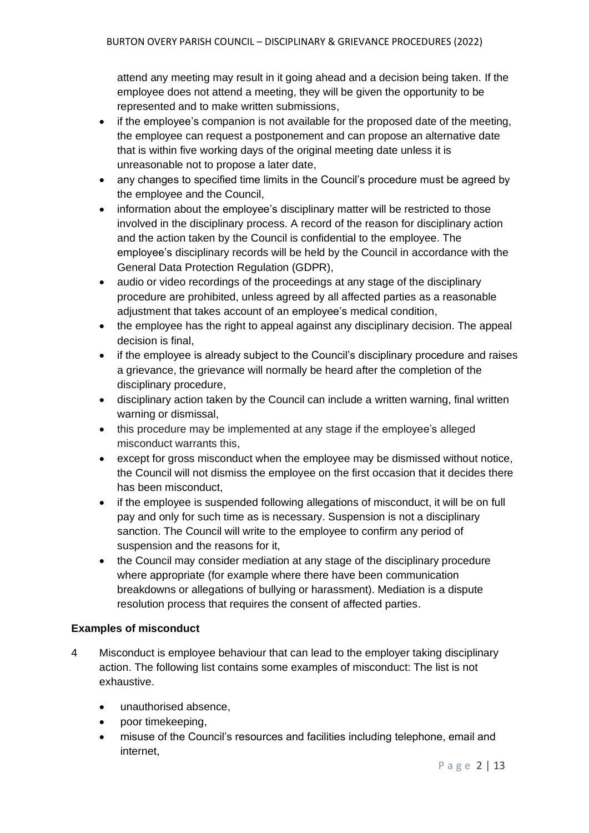attend any meeting may result in it going ahead and a decision being taken. If the employee does not attend a meeting, they will be given the opportunity to be represented and to make written submissions,

- if the employee's companion is not available for the proposed date of the meeting, the employee can request a postponement and can propose an alternative date that is within five working days of the original meeting date unless it is unreasonable not to propose a later date,
- any changes to specified time limits in the Council's procedure must be agreed by the employee and the Council,
- information about the employee's disciplinary matter will be restricted to those involved in the disciplinary process. A record of the reason for disciplinary action and the action taken by the Council is confidential to the employee. The employee's disciplinary records will be held by the Council in accordance with the General Data Protection Regulation (GDPR),
- audio or video recordings of the proceedings at any stage of the disciplinary procedure are prohibited, unless agreed by all affected parties as a reasonable adjustment that takes account of an employee's medical condition,
- the employee has the right to appeal against any disciplinary decision. The appeal decision is final,
- if the employee is already subject to the Council's disciplinary procedure and raises a grievance, the grievance will normally be heard after the completion of the disciplinary procedure,
- disciplinary action taken by the Council can include a written warning, final written warning or dismissal,
- this procedure may be implemented at any stage if the employee's alleged misconduct warrants this,
- except for gross misconduct when the employee may be dismissed without notice, the Council will not dismiss the employee on the first occasion that it decides there has been misconduct,
- if the employee is suspended following allegations of misconduct, it will be on full pay and only for such time as is necessary. Suspension is not a disciplinary sanction. The Council will write to the employee to confirm any period of suspension and the reasons for it,
- the Council may consider mediation at any stage of the disciplinary procedure where appropriate (for example where there have been communication breakdowns or allegations of bullying or harassment). Mediation is a dispute resolution process that requires the consent of affected parties.

# **Examples of misconduct**

- 4 Misconduct is employee behaviour that can lead to the employer taking disciplinary action. The following list contains some examples of misconduct: The list is not exhaustive.
	- unauthorised absence,
	- poor timekeeping,
	- misuse of the Council's resources and facilities including telephone, email and internet,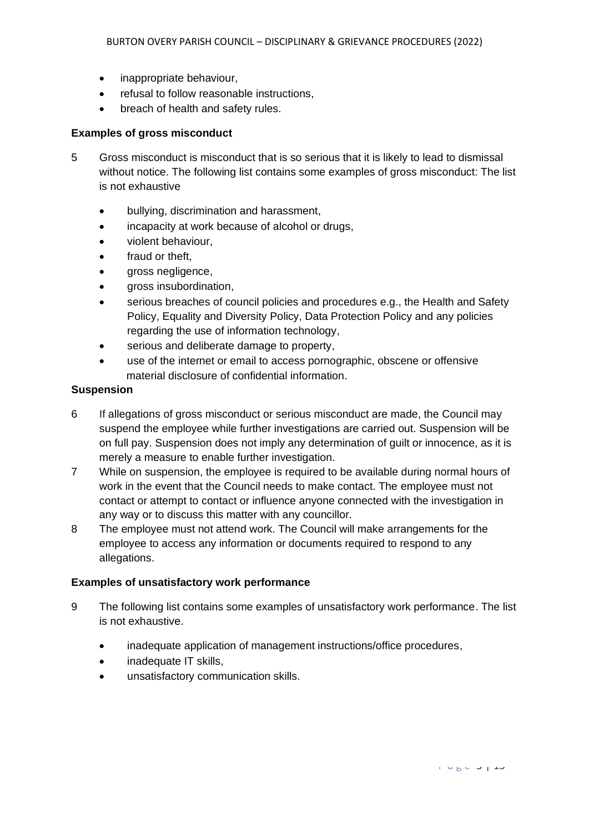- inappropriate behaviour,
- refusal to follow reasonable instructions.
- breach of health and safety rules.

#### **Examples of gross misconduct**

- 5 Gross misconduct is misconduct that is so serious that it is likely to lead to dismissal without notice. The following list contains some examples of gross misconduct: The list is not exhaustive
	- bullying, discrimination and harassment,
	- incapacity at work because of alcohol or drugs,
	- violent behaviour,
	- fraud or theft.
	- gross negligence,
	- gross insubordination,
	- serious breaches of council policies and procedures e.g., the Health and Safety Policy, Equality and Diversity Policy, Data Protection Policy and any policies regarding the use of information technology,
	- serious and deliberate damage to property,
	- use of the internet or email to access pornographic, obscene or offensive material disclosure of confidential information.

#### **Suspension**

- 6 If allegations of gross misconduct or serious misconduct are made, the Council may suspend the employee while further investigations are carried out. Suspension will be on full pay. Suspension does not imply any determination of guilt or innocence, as it is merely a measure to enable further investigation.
- 7 While on suspension, the employee is required to be available during normal hours of work in the event that the Council needs to make contact. The employee must not contact or attempt to contact or influence anyone connected with the investigation in any way or to discuss this matter with any councillor.
- 8 The employee must not attend work. The Council will make arrangements for the employee to access any information or documents required to respond to any allegations.

#### **Examples of unsatisfactory work performance**

- 9 The following list contains some examples of unsatisfactory work performance. The list is not exhaustive.
	- inadequate application of management instructions/office procedures,
	- inadequate IT skills,
	- unsatisfactory communication skills.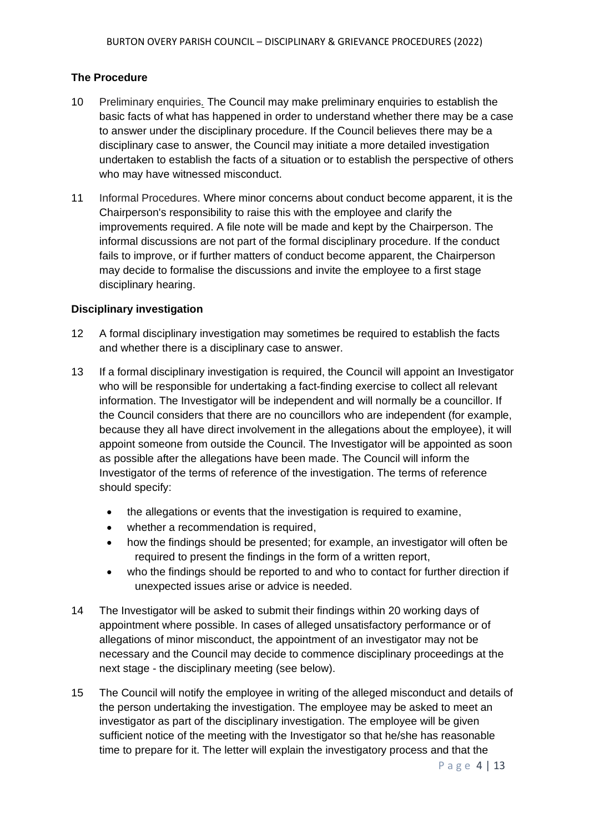## **The Procedure**

- 10 Preliminary enquiries*.* The Council may make preliminary enquiries to establish the basic facts of what has happened in order to understand whether there may be a case to answer under the disciplinary procedure. If the Council believes there may be a disciplinary case to answer, the Council may initiate a more detailed investigation undertaken to establish the facts of a situation or to establish the perspective of others who may have witnessed misconduct.
- 11 Informal Procedures. Where minor concerns about conduct become apparent, it is the Chairperson's responsibility to raise this with the employee and clarify the improvements required. A file note will be made and kept by the Chairperson. The informal discussions are not part of the formal disciplinary procedure. If the conduct fails to improve, or if further matters of conduct become apparent, the Chairperson may decide to formalise the discussions and invite the employee to a first stage disciplinary hearing.

## **Disciplinary investigation**

- 12 A formal disciplinary investigation may sometimes be required to establish the facts and whether there is a disciplinary case to answer.
- 13 If a formal disciplinary investigation is required, the Council will appoint an Investigator who will be responsible for undertaking a fact-finding exercise to collect all relevant information. The Investigator will be independent and will normally be a councillor. If the Council considers that there are no councillors who are independent (for example, because they all have direct involvement in the allegations about the employee), it will appoint someone from outside the Council. The Investigator will be appointed as soon as possible after the allegations have been made. The Council will inform the Investigator of the terms of reference of the investigation. The terms of reference should specify:
	- the allegations or events that the investigation is required to examine,
	- whether a recommendation is required,
	- how the findings should be presented; for example, an investigator will often be required to present the findings in the form of a written report,
	- who the findings should be reported to and who to contact for further direction if unexpected issues arise or advice is needed.
- 14 The Investigator will be asked to submit their findings within 20 working days of appointment where possible. In cases of alleged unsatisfactory performance or of allegations of minor misconduct, the appointment of an investigator may not be necessary and the Council may decide to commence disciplinary proceedings at the next stage - the disciplinary meeting (see below).
- 15 The Council will notify the employee in writing of the alleged misconduct and details of the person undertaking the investigation. The employee may be asked to meet an investigator as part of the disciplinary investigation. The employee will be given sufficient notice of the meeting with the Investigator so that he/she has reasonable time to prepare for it. The letter will explain the investigatory process and that the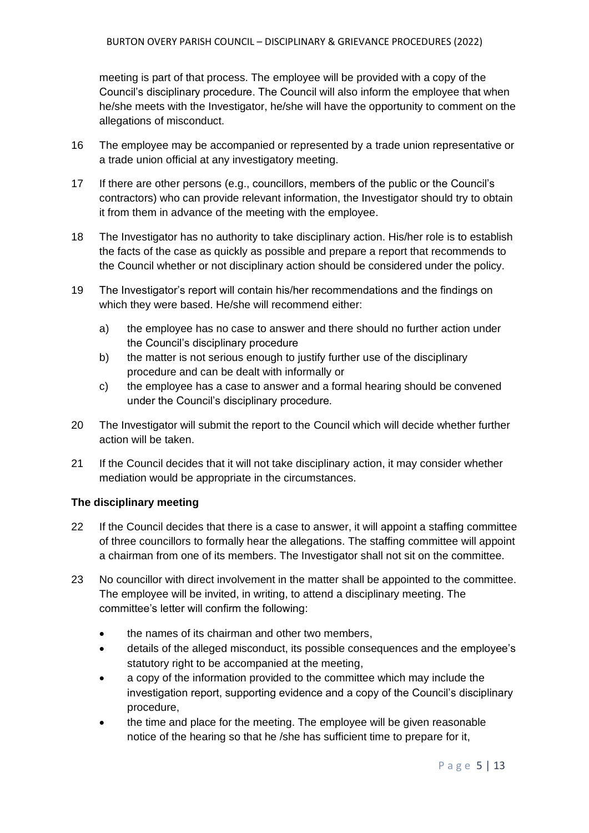meeting is part of that process. The employee will be provided with a copy of the Council's disciplinary procedure. The Council will also inform the employee that when he/she meets with the Investigator, he/she will have the opportunity to comment on the allegations of misconduct.

- 16 The employee may be accompanied or represented by a trade union representative or a trade union official at any investigatory meeting.
- 17 If there are other persons (e.g., councillors, members of the public or the Council's contractors) who can provide relevant information, the Investigator should try to obtain it from them in advance of the meeting with the employee.
- 18 The Investigator has no authority to take disciplinary action. His/her role is to establish the facts of the case as quickly as possible and prepare a report that recommends to the Council whether or not disciplinary action should be considered under the policy.
- 19 The Investigator's report will contain his/her recommendations and the findings on which they were based. He/she will recommend either:
	- a) the employee has no case to answer and there should no further action under the Council's disciplinary procedure
	- b) the matter is not serious enough to justify further use of the disciplinary procedure and can be dealt with informally or
	- c) the employee has a case to answer and a formal hearing should be convened under the Council's disciplinary procedure.
- 20 The Investigator will submit the report to the Council which will decide whether further action will be taken.
- 21 If the Council decides that it will not take disciplinary action, it may consider whether mediation would be appropriate in the circumstances.

# **The disciplinary meeting**

- 22 If the Council decides that there is a case to answer, it will appoint a staffing committee of three councillors to formally hear the allegations. The staffing committee will appoint a chairman from one of its members. The Investigator shall not sit on the committee.
- 23 No councillor with direct involvement in the matter shall be appointed to the committee. The employee will be invited, in writing, to attend a disciplinary meeting. The committee's letter will confirm the following:
	- the names of its chairman and other two members,
	- details of the alleged misconduct, its possible consequences and the employee's statutory right to be accompanied at the meeting,
	- a copy of the information provided to the committee which may include the investigation report, supporting evidence and a copy of the Council's disciplinary procedure,
	- the time and place for the meeting. The employee will be given reasonable notice of the hearing so that he /she has sufficient time to prepare for it,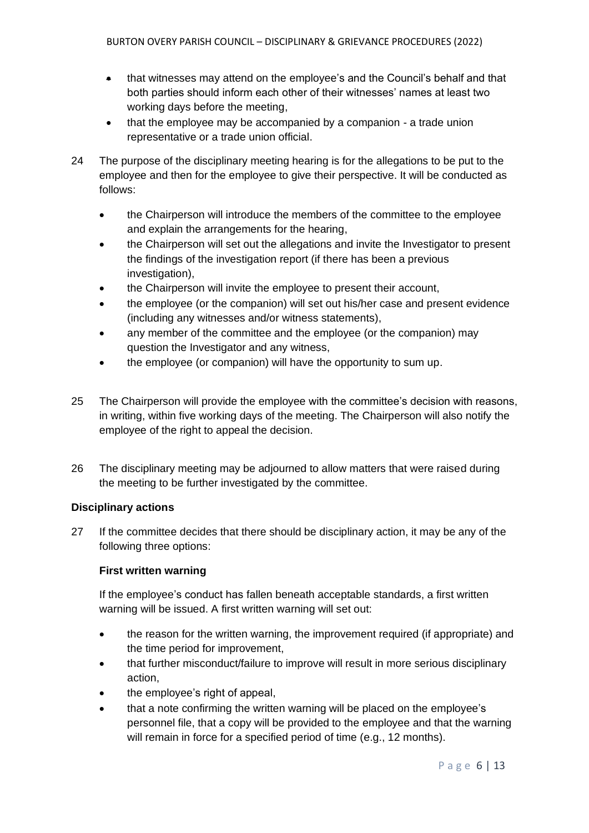- that witnesses may attend on the employee's and the Council's behalf and that both parties should inform each other of their witnesses' names at least two working days before the meeting,
- that the employee may be accompanied by a companion a trade union representative or a trade union official.
- 24 The purpose of the disciplinary meeting hearing is for the allegations to be put to the employee and then for the employee to give their perspective. It will be conducted as follows:
	- the Chairperson will introduce the members of the committee to the employee and explain the arrangements for the hearing,
	- the Chairperson will set out the allegations and invite the Investigator to present the findings of the investigation report (if there has been a previous investigation),
	- the Chairperson will invite the employee to present their account,
	- the employee (or the companion) will set out his/her case and present evidence (including any witnesses and/or witness statements),
	- any member of the committee and the employee (or the companion) may question the Investigator and any witness,
	- the employee (or companion) will have the opportunity to sum up.
- 25 The Chairperson will provide the employee with the committee's decision with reasons, in writing, within five working days of the meeting. The Chairperson will also notify the employee of the right to appeal the decision.
- 26 The disciplinary meeting may be adjourned to allow matters that were raised during the meeting to be further investigated by the committee.

# **Disciplinary actions**

27 If the committee decides that there should be disciplinary action, it may be any of the following three options:

# **First written warning**

If the employee's conduct has fallen beneath acceptable standards, a first written warning will be issued. A first written warning will set out:

- the reason for the written warning, the improvement required (if appropriate) and the time period for improvement,
- that further misconduct/failure to improve will result in more serious disciplinary action,
- the employee's right of appeal,
- that a note confirming the written warning will be placed on the employee's personnel file, that a copy will be provided to the employee and that the warning will remain in force for a specified period of time (e.g., 12 months).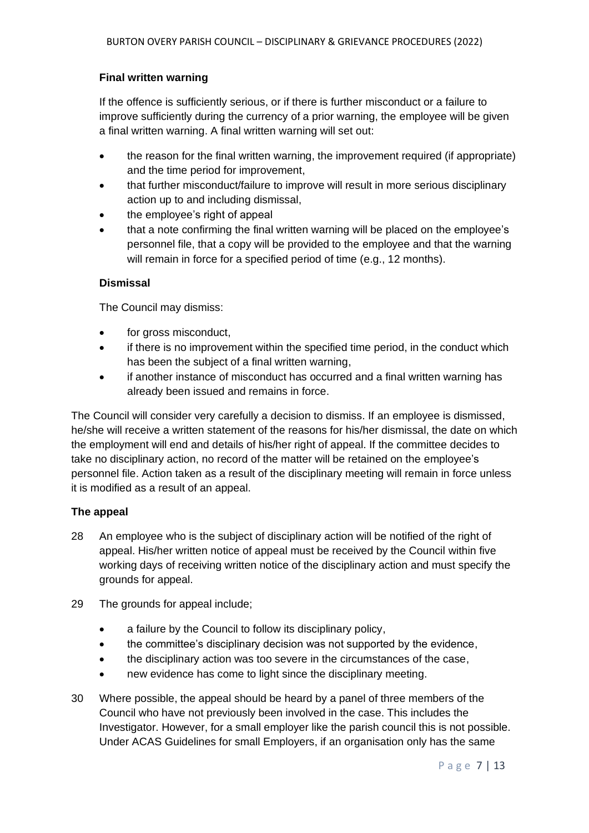## **Final written warning**

If the offence is sufficiently serious, or if there is further misconduct or a failure to improve sufficiently during the currency of a prior warning, the employee will be given a final written warning. A final written warning will set out:

- the reason for the final written warning, the improvement required (if appropriate) and the time period for improvement,
- that further misconduct/failure to improve will result in more serious disciplinary action up to and including dismissal,
- the employee's right of appeal
- that a note confirming the final written warning will be placed on the employee's personnel file, that a copy will be provided to the employee and that the warning will remain in force for a specified period of time (e.g., 12 months).

#### **Dismissal**

The Council may dismiss:

- for gross misconduct,
- if there is no improvement within the specified time period, in the conduct which has been the subject of a final written warning,
- if another instance of misconduct has occurred and a final written warning has already been issued and remains in force.

The Council will consider very carefully a decision to dismiss. If an employee is dismissed, he/she will receive a written statement of the reasons for his/her dismissal, the date on which the employment will end and details of his/her right of appeal. If the committee decides to take no disciplinary action, no record of the matter will be retained on the employee's personnel file. Action taken as a result of the disciplinary meeting will remain in force unless it is modified as a result of an appeal.

#### **The appeal**

- 28 An employee who is the subject of disciplinary action will be notified of the right of appeal. His/her written notice of appeal must be received by the Council within five working days of receiving written notice of the disciplinary action and must specify the grounds for appeal.
- 29 The grounds for appeal include;
	- a failure by the Council to follow its disciplinary policy,
	- the committee's disciplinary decision was not supported by the evidence,
	- the disciplinary action was too severe in the circumstances of the case,
	- hew evidence has come to light since the disciplinary meeting.
- 30 Where possible, the appeal should be heard by a panel of three members of the Council who have not previously been involved in the case. This includes the Investigator. However, for a small employer like the parish council this is not possible. Under ACAS Guidelines for small Employers, if an organisation only has the same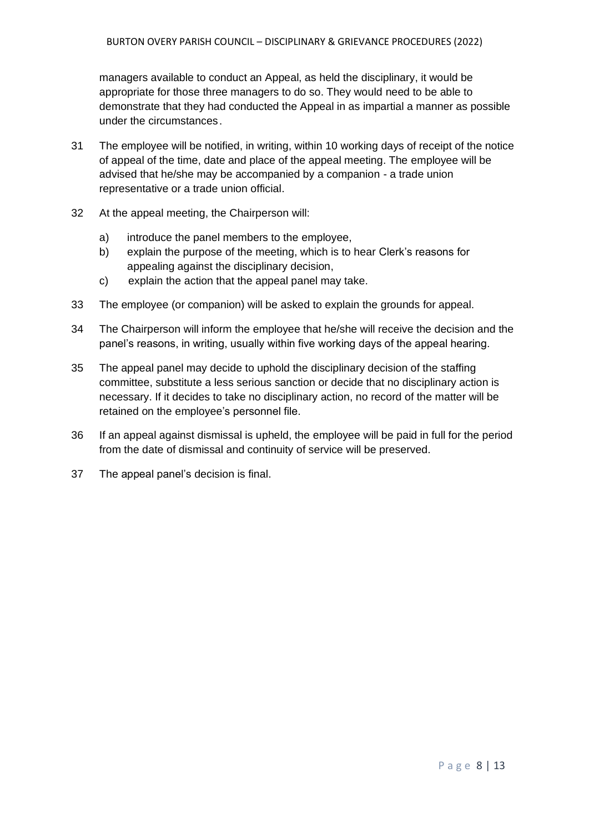managers available to conduct an Appeal, as held the disciplinary, it would be appropriate for those three managers to do so. They would need to be able to demonstrate that they had conducted the Appeal in as impartial a manner as possible under the circumstances.

- 31 The employee will be notified, in writing, within 10 working days of receipt of the notice of appeal of the time, date and place of the appeal meeting. The employee will be advised that he/she may be accompanied by a companion - a trade union representative or a trade union official.
- 32 At the appeal meeting, the Chairperson will:
	- a) introduce the panel members to the employee,
	- b) explain the purpose of the meeting, which is to hear Clerk's reasons for appealing against the disciplinary decision,
	- c) explain the action that the appeal panel may take.
- 33 The employee (or companion) will be asked to explain the grounds for appeal.
- 34 The Chairperson will inform the employee that he/she will receive the decision and the panel's reasons, in writing, usually within five working days of the appeal hearing.
- 35 The appeal panel may decide to uphold the disciplinary decision of the staffing committee, substitute a less serious sanction or decide that no disciplinary action is necessary. If it decides to take no disciplinary action, no record of the matter will be retained on the employee's personnel file.
- 36 If an appeal against dismissal is upheld, the employee will be paid in full for the period from the date of dismissal and continuity of service will be preserved.
- 37 The appeal panel's decision is final.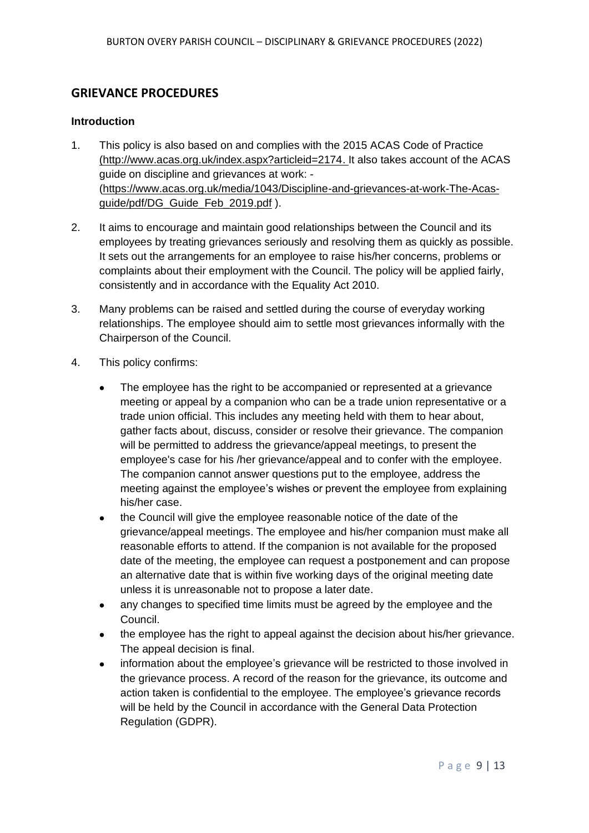# **GRIEVANCE PROCEDURES**

#### **Introduction**

- 1. This policy is also based on and complies with the 2015 ACAS Code of Practice [\(http://www.acas.org.uk/index.aspx?articleid=2174.](http://www.acas.org.uk/index.aspx?articleid=2174) It also takes account of the ACAS guide on discipline and grievances at work: - [\(https://www.acas.org.uk/media/1043/Discipline-and-grievances-at-work-The-Acas](https://www.acas.org.uk/media/1043/Discipline-and-grievances-at-work-The-Acas-guide/pdf/DG_Guide_Feb_2019.pdf)[guide/pdf/DG\\_Guide\\_Feb\\_2019.pdf](https://www.acas.org.uk/media/1043/Discipline-and-grievances-at-work-The-Acas-guide/pdf/DG_Guide_Feb_2019.pdf) ).
- 2. It aims to encourage and maintain good relationships between the Council and its employees by treating grievances seriously and resolving them as quickly as possible. It sets out the arrangements for an employee to raise his/her concerns, problems or complaints about their employment with the Council. The policy will be applied fairly, consistently and in accordance with the Equality Act 2010.
- 3. Many problems can be raised and settled during the course of everyday working relationships. The employee should aim to settle most grievances informally with the Chairperson of the Council.
- 4. This policy confirms:
	- The employee has the right to be accompanied or represented at a grievance meeting or appeal by a companion who can be a trade union representative or a trade union official. This includes any meeting held with them to hear about, gather facts about, discuss, consider or resolve their grievance. The companion will be permitted to address the grievance/appeal meetings, to present the employee's case for his /her grievance/appeal and to confer with the employee. The companion cannot answer questions put to the employee, address the meeting against the employee's wishes or prevent the employee from explaining his/her case.
	- the Council will give the employee reasonable notice of the date of the grievance/appeal meetings. The employee and his/her companion must make all reasonable efforts to attend. If the companion is not available for the proposed date of the meeting, the employee can request a postponement and can propose an alternative date that is within five working days of the original meeting date unless it is unreasonable not to propose a later date.
	- any changes to specified time limits must be agreed by the employee and the Council.
	- the employee has the right to appeal against the decision about his/her grievance. The appeal decision is final.
	- information about the employee's grievance will be restricted to those involved in the grievance process. A record of the reason for the grievance, its outcome and action taken is confidential to the employee. The employee's grievance records will be held by the Council in accordance with the General Data Protection Regulation (GDPR).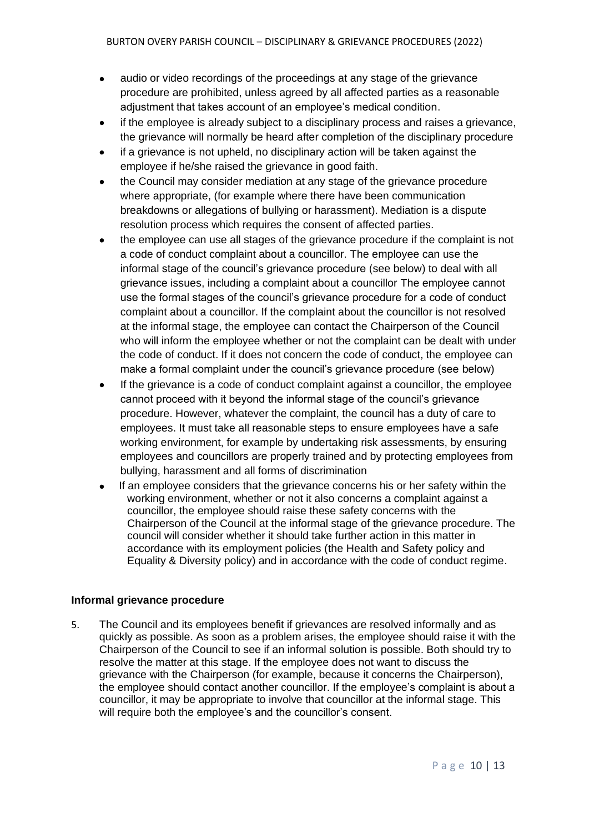- audio or video recordings of the proceedings at any stage of the grievance procedure are prohibited, unless agreed by all affected parties as a reasonable adjustment that takes account of an employee's medical condition.
- if the employee is already subject to a disciplinary process and raises a grievance, the grievance will normally be heard after completion of the disciplinary procedure
- if a grievance is not upheld, no disciplinary action will be taken against the employee if he/she raised the grievance in good faith.
- the Council may consider mediation at any stage of the grievance procedure where appropriate, (for example where there have been communication breakdowns or allegations of bullying or harassment). Mediation is a dispute resolution process which requires the consent of affected parties.
- the employee can use all stages of the grievance procedure if the complaint is not a code of conduct complaint about a councillor. The employee can use the informal stage of the council's grievance procedure (see below) to deal with all grievance issues, including a complaint about a councillor The employee cannot use the formal stages of the council's grievance procedure for a code of conduct complaint about a councillor. If the complaint about the councillor is not resolved at the informal stage, the employee can contact the Chairperson of the Council who will inform the employee whether or not the complaint can be dealt with under the code of conduct. If it does not concern the code of conduct, the employee can make a formal complaint under the council's grievance procedure (see below)
- If the grievance is a code of conduct complaint against a councillor, the employee cannot proceed with it beyond the informal stage of the council's grievance procedure. However, whatever the complaint, the council has a duty of care to employees. It must take all reasonable steps to ensure employees have a safe working environment, for example by undertaking risk assessments, by ensuring employees and councillors are properly trained and by protecting employees from bullying, harassment and all forms of discrimination
- If an employee considers that the grievance concerns his or her safety within the working environment, whether or not it also concerns a complaint against a councillor, the employee should raise these safety concerns with the Chairperson of the Council at the informal stage of the grievance procedure. The council will consider whether it should take further action in this matter in accordance with its employment policies (the Health and Safety policy and Equality & Diversity policy) and in accordance with the code of conduct regime.

#### **Informal grievance procedure**

5. The Council and its employees benefit if grievances are resolved informally and as quickly as possible. As soon as a problem arises, the employee should raise it with the Chairperson of the Council to see if an informal solution is possible. Both should try to resolve the matter at this stage. If the employee does not want to discuss the grievance with the Chairperson (for example, because it concerns the Chairperson), the employee should contact another councillor. If the employee's complaint is about a councillor, it may be appropriate to involve that councillor at the informal stage. This will require both the employee's and the councillor's consent.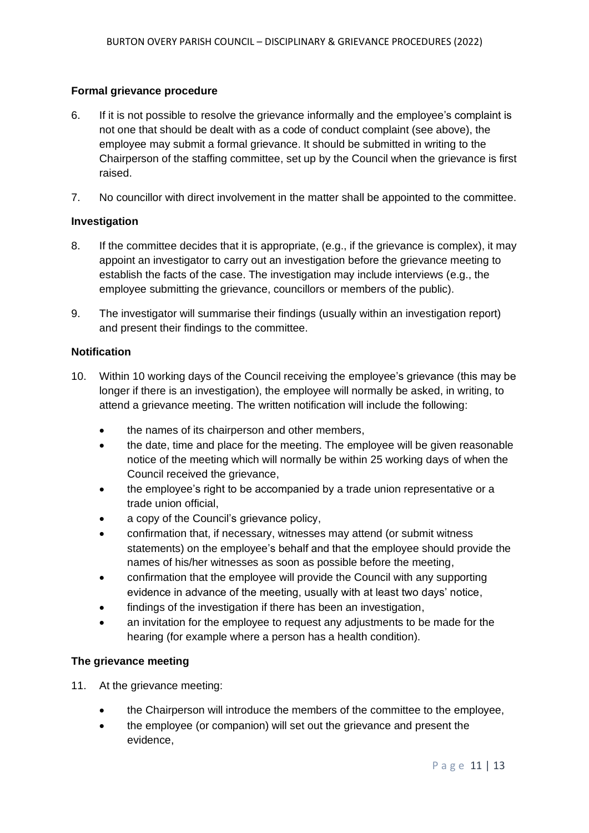## **Formal grievance procedure**

- 6. If it is not possible to resolve the grievance informally and the employee's complaint is not one that should be dealt with as a code of conduct complaint (see above), the employee may submit a formal grievance. It should be submitted in writing to the Chairperson of the staffing committee, set up by the Council when the grievance is first raised.
- 7. No councillor with direct involvement in the matter shall be appointed to the committee.

#### **Investigation**

- 8. If the committee decides that it is appropriate, (e.g., if the grievance is complex), it may appoint an investigator to carry out an investigation before the grievance meeting to establish the facts of the case. The investigation may include interviews (e.g., the employee submitting the grievance, councillors or members of the public).
- 9. The investigator will summarise their findings (usually within an investigation report) and present their findings to the committee.

#### **Notification**

- 10. Within 10 working days of the Council receiving the employee's grievance (this may be longer if there is an investigation), the employee will normally be asked, in writing, to attend a grievance meeting. The written notification will include the following:
	- the names of its chairperson and other members,
	- the date, time and place for the meeting. The employee will be given reasonable notice of the meeting which will normally be within 25 working days of when the Council received the grievance,
	- the employee's right to be accompanied by a trade union representative or a trade union official,
	- a copy of the Council's grievance policy,
	- confirmation that, if necessary, witnesses may attend (or submit witness statements) on the employee's behalf and that the employee should provide the names of his/her witnesses as soon as possible before the meeting,
	- confirmation that the employee will provide the Council with any supporting evidence in advance of the meeting, usually with at least two days' notice,
	- findings of the investigation if there has been an investigation,
	- an invitation for the employee to request any adjustments to be made for the hearing (for example where a person has a health condition).

#### **The grievance meeting**

- 11. At the grievance meeting:
	- the Chairperson will introduce the members of the committee to the employee,
	- the employee (or companion) will set out the grievance and present the evidence,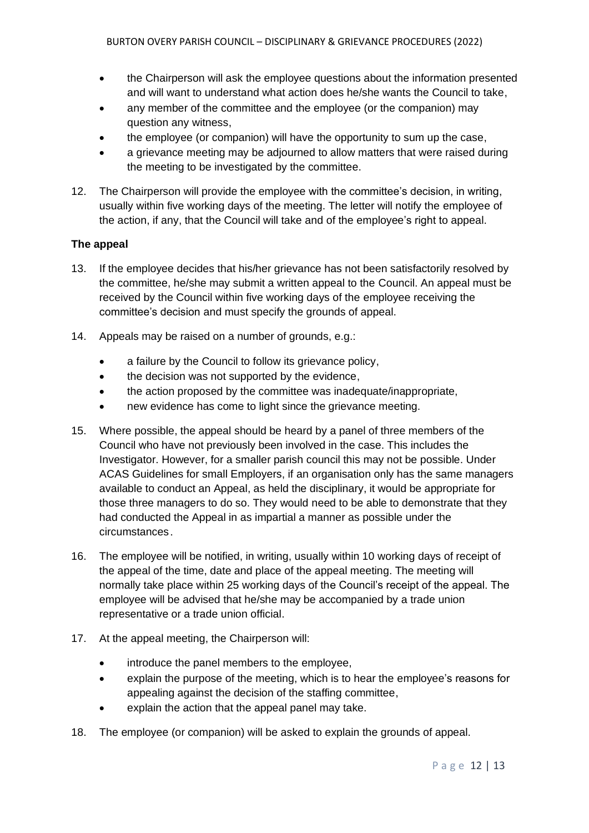- the Chairperson will ask the employee questions about the information presented and will want to understand what action does he/she wants the Council to take,
- any member of the committee and the employee (or the companion) may question any witness,
- the employee (or companion) will have the opportunity to sum up the case,
- a grievance meeting may be adjourned to allow matters that were raised during the meeting to be investigated by the committee.
- 12. The Chairperson will provide the employee with the committee's decision, in writing, usually within five working days of the meeting. The letter will notify the employee of the action, if any, that the Council will take and of the employee's right to appeal.

# **The appeal**

- 13. If the employee decides that his/her grievance has not been satisfactorily resolved by the committee, he/she may submit a written appeal to the Council. An appeal must be received by the Council within five working days of the employee receiving the committee's decision and must specify the grounds of appeal.
- 14. Appeals may be raised on a number of grounds, e.g.:
	- a failure by the Council to follow its grievance policy,
	- the decision was not supported by the evidence,
	- the action proposed by the committee was inadequate/inappropriate,
	- new evidence has come to light since the grievance meeting.
- 15. Where possible, the appeal should be heard by a panel of three members of the Council who have not previously been involved in the case. This includes the Investigator. However, for a smaller parish council this may not be possible. Under ACAS Guidelines for small Employers, if an organisation only has the same managers available to conduct an Appeal, as held the disciplinary, it would be appropriate for those three managers to do so. They would need to be able to demonstrate that they had conducted the Appeal in as impartial a manner as possible under the circumstances.
- 16. The employee will be notified, in writing, usually within 10 working days of receipt of the appeal of the time, date and place of the appeal meeting. The meeting will normally take place within 25 working days of the Council's receipt of the appeal. The employee will be advised that he/she may be accompanied by a trade union representative or a trade union official.
- 17. At the appeal meeting, the Chairperson will:
	- introduce the panel members to the employee,
	- explain the purpose of the meeting, which is to hear the employee's reasons for appealing against the decision of the staffing committee,
	- explain the action that the appeal panel may take.
- 18. The employee (or companion) will be asked to explain the grounds of appeal.